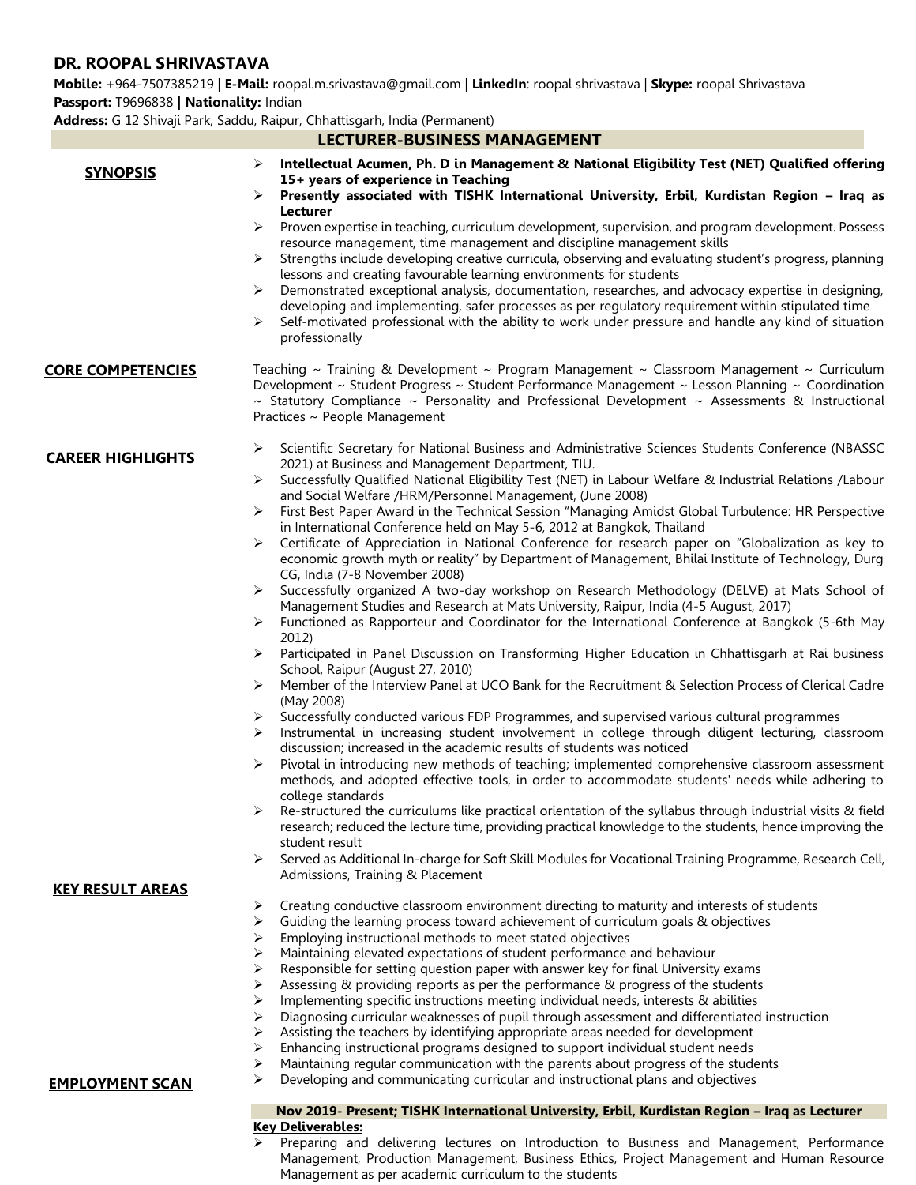# **DR. ROOPAL SHRIVASTAVA**

**Mobile:** +964-7507385219 | **E-Mail:** roopal.m.srivastava@gmail.com | **LinkedIn**: roopal shrivastava | **Skype:** roopal Shrivastava **Passport:** T9696838 **| Nationality:** Indian

**Address:** G 12 Shivaji Park, Saddu, Raipur, Chhattisgarh, India (Permanent)

| <b>LECTURER-BUSINESS MANAGEMENT</b> |                                                                                                                                                                                                                                                                                                                                                                                                 |
|-------------------------------------|-------------------------------------------------------------------------------------------------------------------------------------------------------------------------------------------------------------------------------------------------------------------------------------------------------------------------------------------------------------------------------------------------|
| <b>SYNOPSIS</b>                     | Intellectual Acumen, Ph. D in Management & National Eligibility Test (NET) Qualified offering<br>➤<br>15+ years of experience in Teaching<br>Presently associated with TISHK International University, Erbil, Kurdistan Region - Iraq as<br>➤                                                                                                                                                   |
|                                     | Lecturer                                                                                                                                                                                                                                                                                                                                                                                        |
|                                     | Proven expertise in teaching, curriculum development, supervision, and program development. Possess<br>➤<br>resource management, time management and discipline management skills                                                                                                                                                                                                               |
|                                     | Strengths include developing creative curricula, observing and evaluating student's progress, planning<br>➤                                                                                                                                                                                                                                                                                     |
|                                     | lessons and creating favourable learning environments for students<br>Demonstrated exceptional analysis, documentation, researches, and advocacy expertise in designing,<br>➤<br>developing and implementing, safer processes as per regulatory requirement within stipulated time<br>Self-motivated professional with the ability to work under pressure and handle any kind of situation<br>➤ |
|                                     | professionally                                                                                                                                                                                                                                                                                                                                                                                  |
| <b>CORE COMPETENCIES</b>            | Teaching ~ Training & Development ~ Program Management ~ Classroom Management ~ Curriculum<br>Development ~ Student Progress ~ Student Performance Management ~ Lesson Planning ~ Coordination<br>$\sim$ Statutory Compliance $\sim$ Personality and Professional Development $\sim$ Assessments & Instructional<br>Practices ~ People Management                                               |
| <b>CAREER HIGHLIGHTS</b>            | Scientific Secretary for National Business and Administrative Sciences Students Conference (NBASSC<br>➤<br>2021) at Business and Management Department, TIU.                                                                                                                                                                                                                                    |
|                                     | Successfully Qualified National Eligibility Test (NET) in Labour Welfare & Industrial Relations /Labour<br>➤<br>and Social Welfare /HRM/Personnel Management, (June 2008)                                                                                                                                                                                                                       |
|                                     | First Best Paper Award in the Technical Session "Managing Amidst Global Turbulence: HR Perspective<br>➤<br>in International Conference held on May 5-6, 2012 at Bangkok, Thailand                                                                                                                                                                                                               |
|                                     | Certificate of Appreciation in National Conference for research paper on "Globalization as key to<br>➤<br>economic growth myth or reality" by Department of Management, Bhilai Institute of Technology, Durg<br>CG, India (7-8 November 2008)                                                                                                                                                   |
|                                     | Successfully organized A two-day workshop on Research Methodology (DELVE) at Mats School of<br>➤                                                                                                                                                                                                                                                                                                |
|                                     | Management Studies and Research at Mats University, Raipur, India (4-5 August, 2017)<br>Functioned as Rapporteur and Coordinator for the International Conference at Bangkok (5-6th May<br>➤<br>2012)                                                                                                                                                                                           |
|                                     | Participated in Panel Discussion on Transforming Higher Education in Chhattisgarh at Rai business<br>➤<br>School, Raipur (August 27, 2010)                                                                                                                                                                                                                                                      |
|                                     | Member of the Interview Panel at UCO Bank for the Recruitment & Selection Process of Clerical Cadre<br>➤<br>(May 2008)                                                                                                                                                                                                                                                                          |
|                                     | Successfully conducted various FDP Programmes, and supervised various cultural programmes<br>➤<br>Instrumental in increasing student involvement in college through diligent lecturing, classroom<br>➤<br>discussion; increased in the academic results of students was noticed                                                                                                                 |
|                                     | Pivotal in introducing new methods of teaching; implemented comprehensive classroom assessment<br>➤                                                                                                                                                                                                                                                                                             |
|                                     | methods, and adopted effective tools, in order to accommodate students' needs while adhering to<br>college standards                                                                                                                                                                                                                                                                            |
|                                     | Re-structured the curriculums like practical orientation of the syllabus through industrial visits & field<br>research; reduced the lecture time, providing practical knowledge to the students, hence improving the                                                                                                                                                                            |
|                                     | student result<br>Served as Additional In-charge for Soft Skill Modules for Vocational Training Programme, Research Cell,<br>➤                                                                                                                                                                                                                                                                  |
| <b>KEY RESULT AREAS</b>             | Admissions, Training & Placement                                                                                                                                                                                                                                                                                                                                                                |
|                                     | Creating conductive classroom environment directing to maturity and interests of students<br>➤                                                                                                                                                                                                                                                                                                  |
|                                     | Guiding the learning process toward achievement of curriculum goals & objectives<br>⋗                                                                                                                                                                                                                                                                                                           |
|                                     | Employing instructional methods to meet stated objectives<br>⋗                                                                                                                                                                                                                                                                                                                                  |
|                                     | Maintaining elevated expectations of student performance and behaviour<br>Responsible for setting question paper with answer key for final University exams<br>➤                                                                                                                                                                                                                                |
|                                     | Assessing & providing reports as per the performance & progress of the students                                                                                                                                                                                                                                                                                                                 |
|                                     | Implementing specific instructions meeting individual needs, interests & abilities<br>⋗                                                                                                                                                                                                                                                                                                         |
|                                     | Diagnosing curricular weaknesses of pupil through assessment and differentiated instruction                                                                                                                                                                                                                                                                                                     |
|                                     | Assisting the teachers by identifying appropriate areas needed for development<br>➤                                                                                                                                                                                                                                                                                                             |
|                                     | Enhancing instructional programs designed to support individual student needs<br>Maintaining regular communication with the parents about progress of the students<br>➤                                                                                                                                                                                                                         |
| <b>EMPLOYMENT SCAN</b>              | Developing and communicating curricular and instructional plans and objectives                                                                                                                                                                                                                                                                                                                  |
|                                     | Nov 2019- Present; TISHK International University, Erbil, Kurdistan Region - Iraq as Lecturer                                                                                                                                                                                                                                                                                                   |
|                                     | <b>Key Deliverables:</b>                                                                                                                                                                                                                                                                                                                                                                        |
|                                     | Preparing and delivering lectures on Introduction to Business and Management, Performance<br>➤                                                                                                                                                                                                                                                                                                  |

➢ Preparing and delivering lectures on Introduction to Business and Management, Performance Management, Production Management, Business Ethics, Project Management and Human Resource Management as per academic curriculum to the students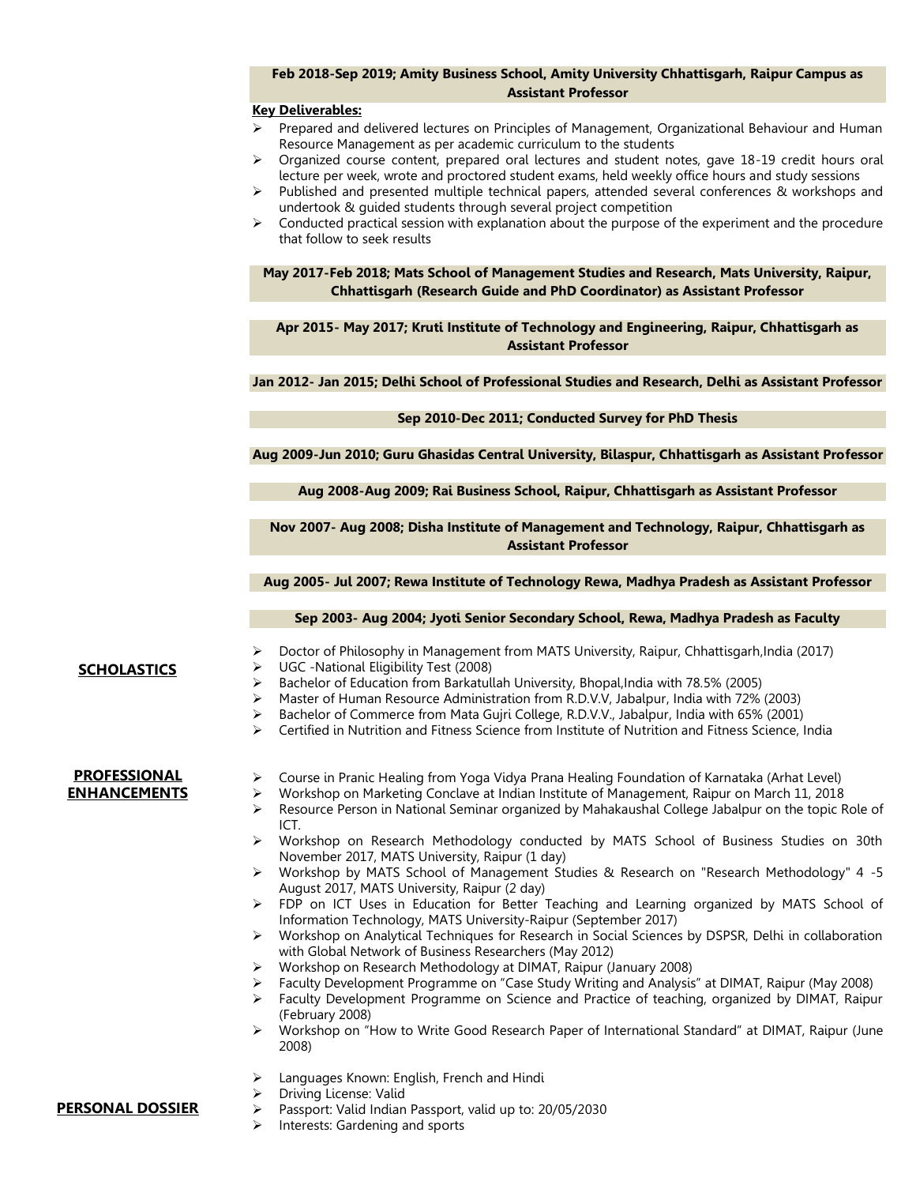### **Feb 2018-Sep 2019; Amity Business School, Amity University Chhattisgarh, Raipur Campus as Assistant Professor**

#### **Key Deliverables:**

- ➢ Prepared and delivered lectures on Principles of Management, Organizational Behaviour and Human Resource Management as per academic curriculum to the students
- ➢ Organized course content, prepared oral lectures and student notes, gave 18-19 credit hours oral lecture per week, wrote and proctored student exams, held weekly office hours and study sessions
- $\triangleright$  Published and presented multiple technical papers, attended several conferences & workshops and undertook & guided students through several project competition
- $\triangleright$  Conducted practical session with explanation about the purpose of the experiment and the procedure that follow to seek results

**May 2017-Feb 2018; Mats School of Management Studies and Research, Mats University, Raipur, Chhattisgarh (Research Guide and PhD Coordinator) as Assistant Professor**

**Apr 2015- May 2017; Kruti Institute of Technology and Engineering, Raipur, Chhattisgarh as Assistant Professor**

**Jan 2012- Jan 2015; Delhi School of Professional Studies and Research, Delhi as Assistant Professor**

#### **Sep 2010-Dec 2011; Conducted Survey for PhD Thesis**

**Aug 2009-Jun 2010; Guru Ghasidas Central University, Bilaspur, Chhattisgarh as Assistant Professor**

**Aug 2008-Aug 2009; Rai Business School, Raipur, Chhattisgarh as Assistant Professor**

### **Nov 2007- Aug 2008; Disha Institute of Management and Technology, Raipur, Chhattisgarh as Assistant Professor**

**Aug 2005- Jul 2007; Rewa Institute of Technology Rewa, Madhya Pradesh as Assistant Professor**

**Sep 2003- Aug 2004; Jyoti Senior Secondary School, Rewa, Madhya Pradesh as Faculty**

## **SCHOLASTICS**

- ➢ Doctor of Philosophy in Management from MATS University, Raipur, Chhattisgarh,India (2017)
- ➢ UGC -National Eligibility Test (2008)
- ➢ Bachelor of Education from Barkatullah University, Bhopal,India with 78.5% (2005)
- ➢ Master of Human Resource Administration from R.D.V.V, Jabalpur, India with 72% (2003)
- ➢ Bachelor of Commerce from Mata Gujri College, R.D.V.V., Jabalpur, India with 65% (2001)
- ➢ Certified in Nutrition and Fitness Science from Institute of Nutrition and Fitness Science, India

#### **PROFESSIONAL ENHANCEMENTS**

- ➢ Course in Pranic Healing from Yoga Vidya Prana Healing Foundation of Karnataka (Arhat Level)
- ➢ Workshop on Marketing Conclave at Indian Institute of Management, Raipur on March 11, 2018
- ➢ Resource Person in National Seminar organized by Mahakaushal College Jabalpur on the topic Role of ICT.
- ➢ Workshop on Research Methodology conducted by MATS School of Business Studies on 30th November 2017, MATS University, Raipur (1 day)
- ➢ Workshop by MATS School of Management Studies & Research on "Research Methodology" 4 -5 August 2017, MATS University, Raipur (2 day)
- ➢ FDP on ICT Uses in Education for Better Teaching and Learning organized by MATS School of Information Technology, MATS University-Raipur (September 2017)
- ➢ Workshop on Analytical Techniques for Research in Social Sciences by DSPSR, Delhi in collaboration with Global Network of Business Researchers (May 2012)
- ➢ Workshop on Research Methodology at DIMAT, Raipur (January 2008)
- ➢ Faculty Development Programme on "Case Study Writing and Analysis" at DIMAT, Raipur (May 2008)
	- ➢ Faculty Development Programme on Science and Practice of teaching, organized by DIMAT, Raipur (February 2008)
	- ➢ Workshop on "How to Write Good Research Paper of International Standard" at DIMAT, Raipur (June 2008)
	- Languages Known: English, French and Hindi
	- ➢ Driving License: Valid
- ➢ Passport: Valid Indian Passport, valid up to: 20/05/2030 **PERSONAL DOSSIER**
	- ➢ Interests: Gardening and sports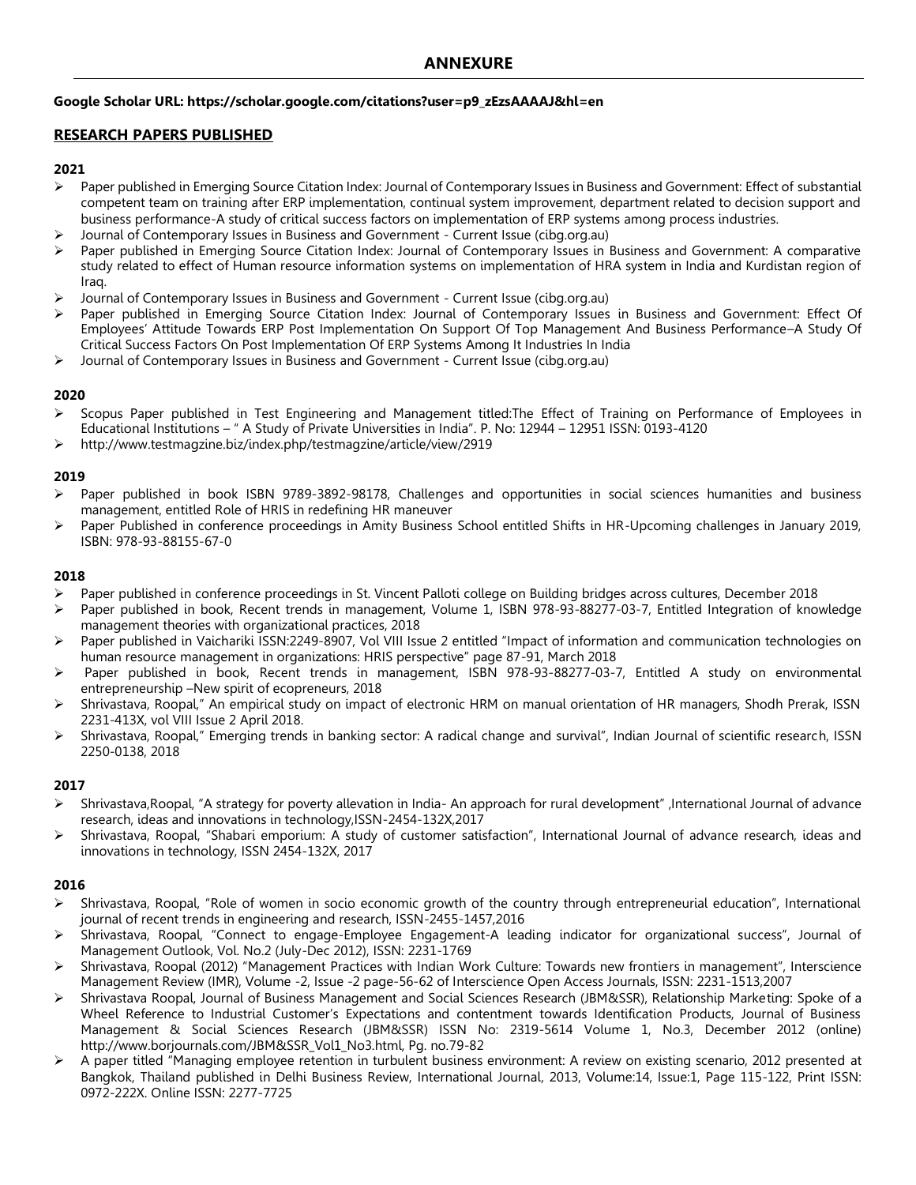### **Google Scholar URL: https://scholar.google.com/citations?user=p9\_zEzsAAAAJ&hl=en**

## **RESEARCH PAPERS PUBLISHED**

### **2021**

- ➢ Paper published in Emerging Source Citation Index: Journal of Contemporary Issues in Business and Government: Effect of substantial competent team on training after ERP implementation, continual system improvement, department related to decision support and business performance-A study of critical success factors on implementation of ERP systems among process industries.
- ➢ Journal of Contemporary Issues in Business and Government Current Issue (cibg.org.au)
- Paper published in Emerging Source Citation Index: Journal of Contemporary Issues in Business and Government: A comparative study related to effect of Human resource information systems on implementation of HRA system in India and Kurdistan region of Iraq.
- ➢ Journal of Contemporary Issues in Business and Government Current Issue (cibg.org.au)
- Paper published in Emerging Source Citation Index: Journal of Contemporary Issues in Business and Government: Effect Of Employees' Attitude Towards ERP Post Implementation On Support Of Top Management And Business Performance–A Study Of Critical Success Factors On Post Implementation Of ERP Systems Among It Industries In India
- ➢ Journal of Contemporary Issues in Business and Government Current Issue (cibg.org.au)

### **2020**

- ➢ Scopus Paper published in Test Engineering and Management titled:The Effect of Training on Performance of Employees in Educational Institutions – " A Study of Private Universities in India". P. No: 12944 – 12951 ISSN: 0193-4120
- ➢ http://www.testmagzine.biz/index.php/testmagzine/article/view/2919

### **2019**

- ➢ Paper published in book ISBN 9789-3892-98178, Challenges and opportunities in social sciences humanities and business management, entitled Role of HRIS in redefining HR maneuver
- Paper Published in conference proceedings in Amity Business School entitled Shifts in HR-Upcoming challenges in January 2019, ISBN: 978-93-88155-67-0

#### **2018**

- ➢ Paper published in conference proceedings in St. Vincent Palloti college on Building bridges across cultures, December 2018
- Paper published in book, Recent trends in management, Volume 1, ISBN 978-93-88277-03-7, Entitled Integration of knowledge management theories with organizational practices, 2018
- ➢ Paper published in Vaichariki ISSN:2249-8907, Vol VIII Issue 2 entitled "Impact of information and communication technologies on human resource management in organizations: HRIS perspective" page 87-91, March 2018
- Paper published in book, Recent trends in management, ISBN 978-93-88277-03-7, Entitled A study on environmental entrepreneurship –New spirit of ecopreneurs, 2018
- ➢ Shrivastava, Roopal," An empirical study on impact of electronic HRM on manual orientation of HR managers, Shodh Prerak, ISSN 2231-413X, vol VIII Issue 2 April 2018.
- ➢ Shrivastava, Roopal," Emerging trends in banking sector: A radical change and survival", Indian Journal of scientific research, ISSN 2250-0138, 2018

## **2017**

- ➢ Shrivastava,Roopal, "A strategy for poverty allevation in India- An approach for rural development" ,International Journal of advance research, ideas and innovations in technology,ISSN-2454-132X,2017
- ➢ Shrivastava, Roopal, "Shabari emporium: A study of customer satisfaction", International Journal of advance research, ideas and innovations in technology, ISSN 2454-132X, 2017

## **2016**

- ➢ Shrivastava, Roopal, "Role of women in socio economic growth of the country through entrepreneurial education", International journal of recent trends in engineering and research, ISSN-2455-1457,2016
- ➢ Shrivastava, Roopal, "Connect to engage-Employee Engagement-A leading indicator for organizational success", Journal of Management Outlook, Vol. No.2 (July-Dec 2012), ISSN: 2231-1769
- ➢ Shrivastava, Roopal (2012) "Management Practices with Indian Work Culture: Towards new frontiers in management", Interscience Management Review (IMR), Volume -2, Issue -2 page-56-62 of Interscience Open Access Journals, ISSN: 2231-1513,2007
- ➢ Shrivastava Roopal, Journal of Business Management and Social Sciences Research (JBM&SSR), Relationship Marketing: Spoke of a Wheel Reference to Industrial Customer's Expectations and contentment towards Identification Products, Journal of Business Management & Social Sciences Research (JBM&SSR) ISSN No: 2319-5614 Volume 1, No.3, December 2012 (online) http://www.borjournals.com/JBM&SSR\_Vol1\_No3.html, Pg. no.79-82
- ➢ A paper titled "Managing employee retention in turbulent business environment: A review on existing scenario, 2012 presented at Bangkok, Thailand published in Delhi Business Review, International Journal, 2013, Volume:14, Issue:1, Page 115-122, Print ISSN: 0972-222X. Online ISSN: 2277-7725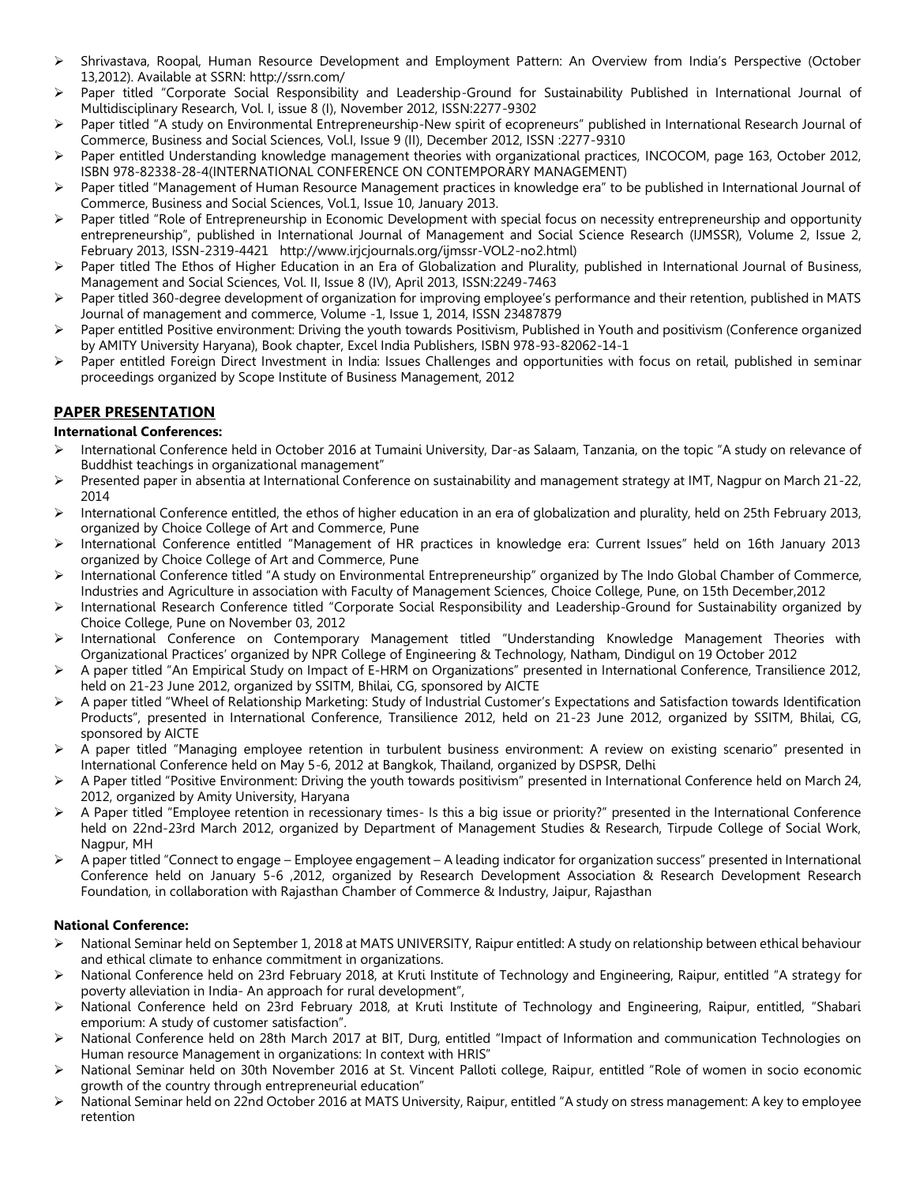- ➢ Shrivastava, Roopal, Human Resource Development and Employment Pattern: An Overview from India's Perspective (October 13,2012). Available at SSRN: http://ssrn.com/
- Paper titled "Corporate Social Responsibility and Leadership-Ground for Sustainability Published in International Journal of Multidisciplinary Research, Vol. I, issue 8 (I), November 2012, ISSN:2277-9302
- Paper titled "A study on Environmental Entrepreneurship-New spirit of ecopreneurs" published in International Research Journal of Commerce, Business and Social Sciences, Vol.I, Issue 9 (II), December 2012, ISSN :2277-9310
- ➢ Paper entitled Understanding knowledge management theories with organizational practices, INCOCOM, page 163, October 2012, ISBN 978-82338-28-4(INTERNATIONAL CONFERENCE ON CONTEMPORARY MANAGEMENT)
- ➢ Paper titled "Management of Human Resource Management practices in knowledge era" to be published in International Journal of Commerce, Business and Social Sciences, Vol.1, Issue 10, January 2013.
- ➢ Paper titled "Role of Entrepreneurship in Economic Development with special focus on necessity entrepreneurship and opportunity entrepreneurship", published in International Journal of Management and Social Science Research (IJMSSR), Volume 2, Issue 2, February 2013, ISSN-2319-4421 http://www.irjcjournals.org/ijmssr-VOL2-no2.html)
- Paper titled The Ethos of Higher Education in an Era of Globalization and Plurality, published in International Journal of Business, Management and Social Sciences, Vol. II, Issue 8 (IV), April 2013, ISSN:2249-7463
- Paper titled 360-degree development of organization for improving employee's performance and their retention, published in MATS Journal of management and commerce, Volume -1, Issue 1, 2014, ISSN 23487879
- Paper entitled Positive environment: Driving the youth towards Positivism, Published in Youth and positivism (Conference organized by AMITY University Haryana), Book chapter, Excel India Publishers, ISBN 978-93-82062-14-1
- ➢ Paper entitled Foreign Direct Investment in India: Issues Challenges and opportunities with focus on retail, published in seminar proceedings organized by Scope Institute of Business Management, 2012

# **PAPER PRESENTATION**

## **International Conferences:**

- ➢ International Conference held in October 2016 at Tumaini University, Dar-as Salaam, Tanzania, on the topic "A study on relevance of Buddhist teachings in organizational management"
- ➢ Presented paper in absentia at International Conference on sustainability and management strategy at IMT, Nagpur on March 21-22, 2014
- International Conference entitled, the ethos of higher education in an era of globalization and plurality, held on 25th February 2013, organized by Choice College of Art and Commerce, Pune
- ➢ International Conference entitled "Management of HR practices in knowledge era: Current Issues" held on 16th January 2013 organized by Choice College of Art and Commerce, Pune
- ➢ International Conference titled "A study on Environmental Entrepreneurship" organized by The Indo Global Chamber of Commerce, Industries and Agriculture in association with Faculty of Management Sciences, Choice College, Pune, on 15th December,2012
- ➢ International Research Conference titled "Corporate Social Responsibility and Leadership-Ground for Sustainability organized by Choice College, Pune on November 03, 2012
- ➢ International Conference on Contemporary Management titled "Understanding Knowledge Management Theories with Organizational Practices' organized by NPR College of Engineering & Technology, Natham, Dindigul on 19 October 2012
- ➢ A paper titled "An Empirical Study on Impact of E-HRM on Organizations" presented in International Conference, Transilience 2012, held on 21-23 June 2012, organized by SSITM, Bhilai, CG, sponsored by AICTE
- ➢ A paper titled "Wheel of Relationship Marketing: Study of Industrial Customer's Expectations and Satisfaction towards Identification Products", presented in International Conference, Transilience 2012, held on 21-23 June 2012, organized by SSITM, Bhilai, CG, sponsored by AICTE
- ➢ A paper titled "Managing employee retention in turbulent business environment: A review on existing scenario" presented in International Conference held on May 5-6, 2012 at Bangkok, Thailand, organized by DSPSR, Delhi
- ➢ A Paper titled "Positive Environment: Driving the youth towards positivism" presented in International Conference held on March 24, 2012, organized by Amity University, Haryana
- ➢ A Paper titled "Employee retention in recessionary times- Is this a big issue or priority?" presented in the International Conference held on 22nd-23rd March 2012, organized by Department of Management Studies & Research, Tirpude College of Social Work, Nagpur, MH
- ➢ A paper titled "Connect to engage Employee engagement A leading indicator for organization success" presented in International Conference held on January 5-6 ,2012, organized by Research Development Association & Research Development Research Foundation, in collaboration with Rajasthan Chamber of Commerce & Industry, Jaipur, Rajasthan

## **National Conference:**

- ➢ National Seminar held on September 1, 2018 at MATS UNIVERSITY, Raipur entitled: A study on relationship between ethical behaviour and ethical climate to enhance commitment in organizations.
- ➢ National Conference held on 23rd February 2018, at Kruti Institute of Technology and Engineering, Raipur, entitled "A strategy for poverty alleviation in India- An approach for rural development",
- ➢ National Conference held on 23rd February 2018, at Kruti Institute of Technology and Engineering, Raipur, entitled, "Shabari emporium: A study of customer satisfaction".
- ➢ National Conference held on 28th March 2017 at BIT, Durg, entitled "Impact of Information and communication Technologies on Human resource Management in organizations: In context with HRIS"
- ➢ National Seminar held on 30th November 2016 at St. Vincent Palloti college, Raipur, entitled "Role of women in socio economic growth of the country through entrepreneurial education"
- ➢ National Seminar held on 22nd October 2016 at MATS University, Raipur, entitled "A study on stress management: A key to employee retention